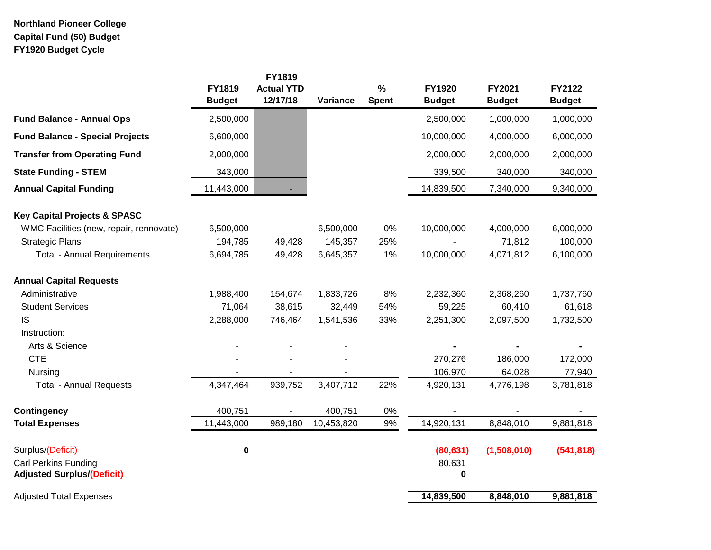# **Northland Pioneer College Capital Fund (50) Budget FY1920 Budget Cycle**

|                                         | FY1819<br><b>Budget</b> | <b>FY1819</b><br><b>Actual YTD</b><br>12/17/18 | Variance   | $\%$<br><b>Spent</b> | FY1920<br><b>Budget</b> | FY2021<br><b>Budget</b> | FY2122<br><b>Budget</b> |
|-----------------------------------------|-------------------------|------------------------------------------------|------------|----------------------|-------------------------|-------------------------|-------------------------|
| <b>Fund Balance - Annual Ops</b>        | 2,500,000               |                                                |            |                      | 2,500,000               | 1,000,000               | 1,000,000               |
| <b>Fund Balance - Special Projects</b>  | 6,600,000               |                                                |            |                      | 10,000,000              | 4,000,000               | 6,000,000               |
| <b>Transfer from Operating Fund</b>     | 2,000,000               |                                                |            |                      | 2,000,000               | 2,000,000               | 2,000,000               |
| <b>State Funding - STEM</b>             | 343,000                 |                                                |            |                      | 339,500                 | 340,000                 | 340,000                 |
| <b>Annual Capital Funding</b>           | 11,443,000              |                                                |            |                      | 14,839,500              | 7,340,000               | 9,340,000               |
| <b>Key Capital Projects &amp; SPASC</b> |                         |                                                |            |                      |                         |                         |                         |
| WMC Facilities (new, repair, rennovate) | 6,500,000               |                                                | 6,500,000  | 0%                   | 10,000,000              | 4,000,000               | 6,000,000               |
| <b>Strategic Plans</b>                  | 194,785                 | 49,428                                         | 145,357    | 25%                  |                         | 71,812                  | 100,000                 |
| <b>Total - Annual Requirements</b>      | 6,694,785               | 49,428                                         | 6,645,357  | 1%                   | 10,000,000              | 4,071,812               | 6,100,000               |
| <b>Annual Capital Requests</b>          |                         |                                                |            |                      |                         |                         |                         |
| Administrative                          | 1,988,400               | 154,674                                        | 1,833,726  | 8%                   | 2,232,360               | 2,368,260               | 1,737,760               |
| <b>Student Services</b>                 | 71,064                  | 38,615                                         | 32,449     | 54%                  | 59,225                  | 60,410                  | 61,618                  |
| <b>IS</b>                               | 2,288,000               | 746,464                                        | 1,541,536  | 33%                  | 2,251,300               | 2,097,500               | 1,732,500               |
| Instruction:                            |                         |                                                |            |                      |                         |                         |                         |
| Arts & Science                          |                         |                                                |            |                      |                         |                         |                         |
| <b>CTE</b>                              |                         |                                                |            |                      | 270,276                 | 186,000                 | 172,000                 |
| Nursing                                 |                         |                                                |            |                      | 106,970                 | 64,028                  | 77,940                  |
| <b>Total - Annual Requests</b>          | 4,347,464               | 939,752                                        | 3,407,712  | 22%                  | 4,920,131               | 4,776,198               | 3,781,818               |
| <b>Contingency</b>                      | 400,751                 |                                                | 400,751    | $0\%$                |                         |                         |                         |
| <b>Total Expenses</b>                   | 11,443,000              | 989,180                                        | 10,453,820 | $9\%$                | 14,920,131              | 8,848,010               | 9,881,818               |
| Surplus/(Deficit)                       | $\pmb{0}$               |                                                |            |                      | (80, 631)               | (1,508,010)             | (541, 818)              |
| <b>Carl Perkins Funding</b>             |                         |                                                |            |                      | 80,631                  |                         |                         |
| <b>Adjusted Surplus/(Deficit)</b>       |                         |                                                |            |                      | 0                       |                         |                         |
| <b>Adjusted Total Expenses</b>          |                         |                                                |            |                      | 14,839,500              | 8,848,010               | 9,881,818               |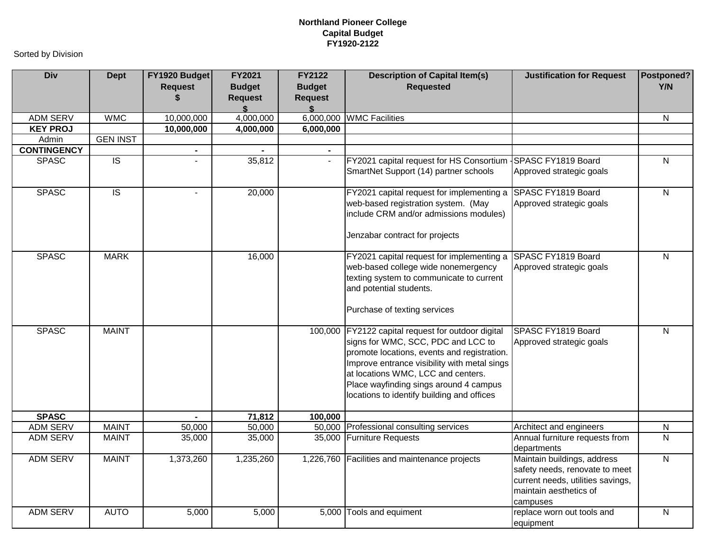| <b>Div</b>         | <b>Dept</b>     | FY1920 Budget<br><b>Request</b><br>S | FY2021<br><b>Budget</b><br><b>Request</b><br>\$ | <b>FY2122</b><br><b>Budget</b><br><b>Request</b><br>\$ | <b>Description of Capital Item(s)</b><br><b>Requested</b>                                                                                                                                                                                                                                                             | <b>Justification for Request</b>                                                                                                         | Postponed?<br>Y/N |
|--------------------|-----------------|--------------------------------------|-------------------------------------------------|--------------------------------------------------------|-----------------------------------------------------------------------------------------------------------------------------------------------------------------------------------------------------------------------------------------------------------------------------------------------------------------------|------------------------------------------------------------------------------------------------------------------------------------------|-------------------|
| <b>ADM SERV</b>    | <b>WMC</b>      | 10,000,000                           | 4,000,000                                       | 6,000,000                                              | <b>WMC Facilities</b>                                                                                                                                                                                                                                                                                                 |                                                                                                                                          | N                 |
| <b>KEY PROJ</b>    |                 | 10,000,000                           | 4,000,000                                       | 6,000,000                                              |                                                                                                                                                                                                                                                                                                                       |                                                                                                                                          |                   |
| Admin              | <b>GEN INST</b> |                                      |                                                 |                                                        |                                                                                                                                                                                                                                                                                                                       |                                                                                                                                          |                   |
| <b>CONTINGENCY</b> |                 | $\sim$                               |                                                 |                                                        |                                                                                                                                                                                                                                                                                                                       |                                                                                                                                          |                   |
| <b>SPASC</b>       | $\overline{S}$  |                                      | 35,812                                          |                                                        | FY2021 capital request for HS Consortium {SPASC FY1819 Board<br>SmartNet Support (14) partner schools                                                                                                                                                                                                                 | Approved strategic goals                                                                                                                 | N                 |
| <b>SPASC</b>       | $\overline{S}$  | $\sim$                               | 20,000                                          |                                                        | FY2021 capital request for implementing a<br>web-based registration system. (May<br>include CRM and/or admissions modules)<br>Jenzabar contract for projects                                                                                                                                                          | SPASC FY1819 Board<br>Approved strategic goals                                                                                           | ${\sf N}$         |
| <b>SPASC</b>       | <b>MARK</b>     |                                      | 16,000                                          |                                                        | FY2021 capital request for implementing a SPASC FY1819 Board<br>web-based college wide nonemergency<br>texting system to communicate to current<br>and potential students.<br>Purchase of texting services                                                                                                            | Approved strategic goals                                                                                                                 | $\overline{N}$    |
| <b>SPASC</b>       | <b>MAINT</b>    |                                      |                                                 |                                                        | 100,000 FY2122 capital request for outdoor digital<br>signs for WMC, SCC, PDC and LCC to<br>promote locations, events and registration.<br>Improve entrance visibility with metal sings<br>at locations WMC, LCC and centers.<br>Place wayfinding sings around 4 campus<br>locations to identify building and offices | SPASC FY1819 Board<br>Approved strategic goals                                                                                           | N                 |
| <b>SPASC</b>       |                 |                                      | 71,812                                          | 100,000                                                |                                                                                                                                                                                                                                                                                                                       |                                                                                                                                          |                   |
| <b>ADM SERV</b>    | <b>MAINT</b>    | 50,000                               | 50,000                                          |                                                        | 50,000 Professional consulting services                                                                                                                                                                                                                                                                               | Architect and engineers                                                                                                                  | N                 |
| <b>ADM SERV</b>    | <b>MAINT</b>    | 35,000                               | 35,000                                          |                                                        | 35,000 Furniture Requests                                                                                                                                                                                                                                                                                             | Annual furniture requests from<br>departments                                                                                            | $\mathsf{N}$      |
| <b>ADM SERV</b>    | <b>MAINT</b>    | 1,373,260                            | 1,235,260                                       |                                                        | 1,226,760 Facilities and maintenance projects                                                                                                                                                                                                                                                                         | Maintain buildings, address<br>safety needs, renovate to meet<br>current needs, utilities savings,<br>maintain aesthetics of<br>campuses | $\overline{N}$    |
| <b>ADM SERV</b>    | <b>AUTO</b>     | 5,000                                | $\overline{5,000}$                              |                                                        | 5,000 Tools and equiment                                                                                                                                                                                                                                                                                              | replace worn out tools and<br>equipment                                                                                                  | ${\sf N}$         |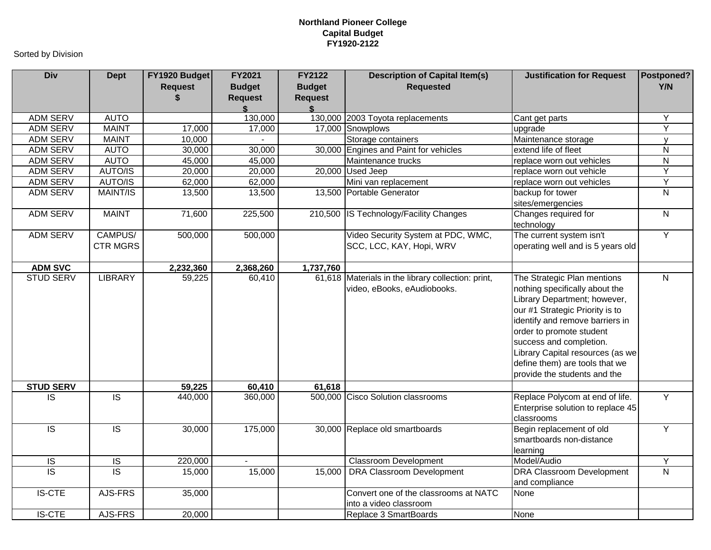| <b>Div</b>       | <b>Dept</b>                | FY1920 Budget<br><b>Request</b><br>S | <b>FY2021</b><br><b>Budget</b><br><b>Request</b> | <b>FY2122</b><br><b>Budget</b><br><b>Request</b><br>\$ | <b>Description of Capital Item(s)</b><br><b>Requested</b>                         | <b>Justification for Request</b>                                                                                                                                                                                                                                                                                                 | Postponed?<br>Y/N |
|------------------|----------------------------|--------------------------------------|--------------------------------------------------|--------------------------------------------------------|-----------------------------------------------------------------------------------|----------------------------------------------------------------------------------------------------------------------------------------------------------------------------------------------------------------------------------------------------------------------------------------------------------------------------------|-------------------|
| <b>ADM SERV</b>  | <b>AUTO</b>                |                                      | 130,000                                          |                                                        | 130,000 2003 Toyota replacements                                                  | Cant get parts                                                                                                                                                                                                                                                                                                                   | Υ                 |
| <b>ADM SERV</b>  | <b>MAINT</b>               | 17,000                               | 17,000                                           |                                                        | 17,000 Snowplows                                                                  | upgrade                                                                                                                                                                                                                                                                                                                          | Y                 |
| <b>ADM SERV</b>  | <b>MAINT</b>               | 10,000                               |                                                  |                                                        | Storage containers                                                                | Maintenance storage                                                                                                                                                                                                                                                                                                              | $\mathsf{v}$      |
| <b>ADM SERV</b>  | <b>AUTO</b>                | 30,000                               | 30,000                                           | 30,000                                                 | Engines and Paint for vehicles                                                    | extend life of fleet                                                                                                                                                                                                                                                                                                             | $\overline{N}$    |
| <b>ADM SERV</b>  | <b>AUTO</b>                | 45,000                               | 45,000                                           |                                                        | Maintenance trucks                                                                | replace worn out vehicles                                                                                                                                                                                                                                                                                                        | ${\sf N}$         |
| <b>ADM SERV</b>  | AUTO/IS                    | 20,000                               | 20,000                                           |                                                        | 20,000 Used Jeep                                                                  | replace worn out vehicle                                                                                                                                                                                                                                                                                                         | $\overline{Y}$    |
| <b>ADM SERV</b>  | AUTO/IS                    | 62,000                               | 62,000                                           |                                                        | Mini van replacement                                                              | replace worn out vehicles                                                                                                                                                                                                                                                                                                        | $\overline{Y}$    |
| <b>ADM SERV</b>  | <b>MAINT/IS</b>            | 13,500                               | 13,500                                           |                                                        | 13,500 Portable Generator                                                         | backup for tower<br>sites/emergencies                                                                                                                                                                                                                                                                                            | $\overline{N}$    |
| <b>ADM SERV</b>  | <b>MAINT</b>               | 71,600                               | 225,500                                          | 210,500                                                | IS Technology/Facility Changes                                                    | Changes required for<br>technology                                                                                                                                                                                                                                                                                               | $\overline{N}$    |
| <b>ADM SERV</b>  | CAMPUS/<br><b>CTR MGRS</b> | 500,000                              | 500,000                                          |                                                        | Video Security System at PDC, WMC,<br>SCC, LCC, KAY, Hopi, WRV                    | The current system isn't<br>operating well and is 5 years old                                                                                                                                                                                                                                                                    | $\overline{Y}$    |
| <b>ADM SVC</b>   |                            | 2,232,360                            | 2,368,260                                        | 1,737,760                                              |                                                                                   |                                                                                                                                                                                                                                                                                                                                  |                   |
| <b>STUD SERV</b> | <b>LIBRARY</b>             | 59,225                               | 60,410                                           |                                                        | 61,618 Materials in the library collection: print,<br>video, eBooks, eAudiobooks. | The Strategic Plan mentions<br>nothing specifically about the<br>Library Department; however,<br>our #1 Strategic Priority is to<br>identify and remove barriers in<br>order to promote student<br>success and completion.<br>Library Capital resources (as we<br>define them) are tools that we<br>provide the students and the | $\overline{N}$    |
| <b>STUD SERV</b> |                            | 59,225                               | 60,410                                           | $\overline{61,618}$                                    |                                                                                   |                                                                                                                                                                                                                                                                                                                                  |                   |
| $\overline{S}$   | $\overline{S}$             | 440,000                              | 360,000                                          |                                                        | 500,000 Cisco Solution classrooms                                                 | Replace Polycom at end of life.<br>Enterprise solution to replace 45<br>classrooms                                                                                                                                                                                                                                               | Y                 |
| $\overline{S}$   | $\overline{\mathsf{IS}}$   | 30,000                               | 175,000                                          |                                                        | 30,000 Replace old smartboards                                                    | Begin replacement of old<br>smartboards non-distance<br>learning                                                                                                                                                                                                                                                                 | $\overline{Y}$    |
| <b>IS</b>        | $\overline{S}$             | 220,000                              |                                                  |                                                        | <b>Classroom Development</b>                                                      | Model/Audio                                                                                                                                                                                                                                                                                                                      | Υ                 |
| $\overline{S}$   | $\overline{S}$             | 15,000                               | 15,000                                           | 15,000                                                 | <b>DRA Classroom Development</b>                                                  | <b>DRA Classroom Development</b><br>and compliance                                                                                                                                                                                                                                                                               | $\overline{N}$    |
| <b>IS-CTE</b>    | AJS-FRS                    | 35,000                               |                                                  |                                                        | Convert one of the classrooms at NATC<br>into a video classroom                   | None                                                                                                                                                                                                                                                                                                                             |                   |
| <b>IS-CTE</b>    | AJS-FRS                    | 20,000                               |                                                  |                                                        | Replace 3 SmartBoards                                                             | None                                                                                                                                                                                                                                                                                                                             |                   |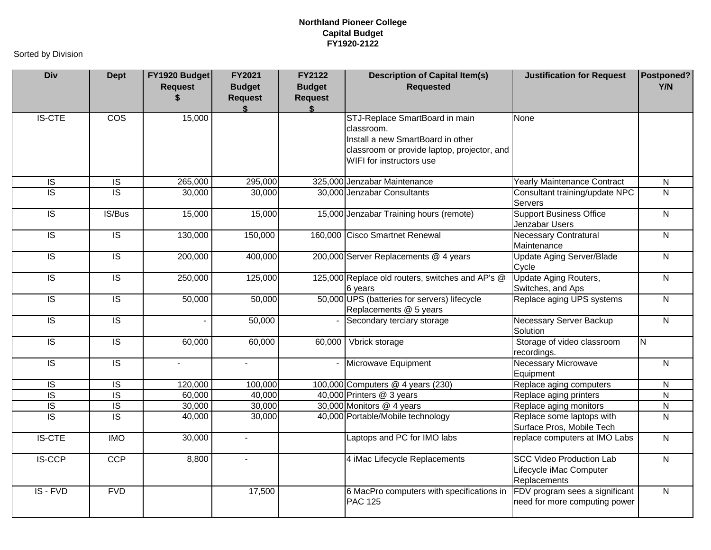| <b>Div</b>               | <b>Dept</b>             | FY1920 Budget<br><b>Request</b> | FY2021<br><b>Budget</b><br><b>Request</b> | <b>FY2122</b><br><b>Budget</b><br><b>Request</b> | <b>Description of Capital Item(s)</b><br><b>Requested</b>                                                                                                    | <b>Justification for Request</b>                                           | Postponed?<br>Y/N       |
|--------------------------|-------------------------|---------------------------------|-------------------------------------------|--------------------------------------------------|--------------------------------------------------------------------------------------------------------------------------------------------------------------|----------------------------------------------------------------------------|-------------------------|
| <b>IS-CTE</b>            | $\overline{\text{cos}}$ | 15,000                          |                                           |                                                  | STJ-Replace SmartBoard in main<br>classroom.<br>Install a new SmartBoard in other<br>classroom or provide laptop, projector, and<br>WIFI for instructors use | None                                                                       |                         |
| $\overline{S}$           | $\overline{1S}$         | 265,000                         | 295,000                                   |                                                  | 325,000 Jenzabar Maintenance                                                                                                                                 | <b>Yearly Maintenance Contract</b>                                         | $\overline{N}$          |
| $\overline{\mathsf{IS}}$ | $\overline{1S}$         | 30,000                          | 30,000                                    |                                                  | 30,000 Jenzabar Consultants                                                                                                                                  | Consultant training/update NPC<br>Servers                                  | $\overline{N}$          |
| $\overline{5}$           | IS/Bus                  | 15,000                          | 15,000                                    |                                                  | 15,000 Jenzabar Training hours (remote)                                                                                                                      | <b>Support Business Office</b><br>Jenzabar Users                           | $\overline{N}$          |
| $\overline{S}$           | $\overline{S}$          | 130,000                         | 150,000                                   |                                                  | 160,000 Cisco Smartnet Renewal                                                                                                                               | <b>Necessary Contratural</b><br>Maintenance                                | $\overline{N}$          |
| <b>IS</b>                | $\overline{S}$          | 200,000                         | 400,000                                   |                                                  | 200,000 Server Replacements @ 4 years                                                                                                                        | <b>Update Aging Server/Blade</b><br>Cycle                                  | $\overline{N}$          |
| $\overline{S}$           | $\overline{S}$          | 250,000                         | 125,000                                   |                                                  | 125,000 Replace old routers, switches and AP's @<br>6 years                                                                                                  | <b>Update Aging Routers,</b><br>Switches, and Aps                          | $\overline{N}$          |
| $\overline{S}$           | $\overline{S}$          | $\overline{50,000}$             | 50,000                                    |                                                  | 50,000 UPS (batteries for servers) lifecycle<br>Replacements @ 5 years                                                                                       | Replace aging UPS systems                                                  | $\overline{N}$          |
| IS                       | <b>IS</b>               |                                 | 50,000                                    |                                                  | Secondary terciary storage                                                                                                                                   | Necessary Server Backup<br>Solution                                        | $\overline{N}$          |
| $\overline{5}$           | $\overline{S}$          | 60,000                          | 60,000                                    | 60,000                                           | Vbrick storage                                                                                                                                               | Storage of video classroom<br>recordings.                                  | <b>N</b>                |
| <b>IS</b>                | $\overline{S}$          | $\blacksquare$                  | $\overline{\phantom{0}}$                  |                                                  | Microwave Equipment                                                                                                                                          | <b>Necessary Microwave</b><br>Equipment                                    | $\overline{N}$          |
| $\overline{5}$           | $\overline{S}$          | 120,000                         | 100,000                                   |                                                  | 100,000 Computers @ 4 years (230)                                                                                                                            | Replace aging computers                                                    | $\overline{\mathsf{N}}$ |
| $\overline{S}$           | $\overline{S}$          | 60,000                          | 40,000                                    |                                                  | 40,000 Printers @ 3 years                                                                                                                                    | Replace aging printers                                                     | $\mathsf{N}$            |
| IS                       | $\overline{S}$          | 30,000                          | 30,000                                    |                                                  | 30,000 Monitors @ 4 years                                                                                                                                    | Replace aging monitors                                                     | N                       |
| $\overline{S}$           | $\overline{S}$          | 40,000                          | 30,000                                    |                                                  | 40,000 Portable/Mobile technology                                                                                                                            | Replace some laptops with<br>Surface Pros, Mobile Tech                     | $\overline{N}$          |
| <b>IS-CTE</b>            | <b>IMO</b>              | 30,000                          | $\overline{a}$                            |                                                  | Laptops and PC for IMO labs                                                                                                                                  | replace computers at IMO Labs                                              | $\overline{N}$          |
| <b>IS-CCP</b>            | <b>CCP</b>              | 8,800                           | $\blacksquare$                            |                                                  | 4 iMac Lifecycle Replacements                                                                                                                                | <b>SCC Video Production Lab</b><br>Lifecycle iMac Computer<br>Replacements | $\overline{N}$          |
| IS - FVD                 | <b>FVD</b>              |                                 | 17,500                                    |                                                  | 6 MacPro computers with specifications in<br><b>PAC 125</b>                                                                                                  | FDV program sees a significant<br>need for more computing power            | $\mathsf{N}$            |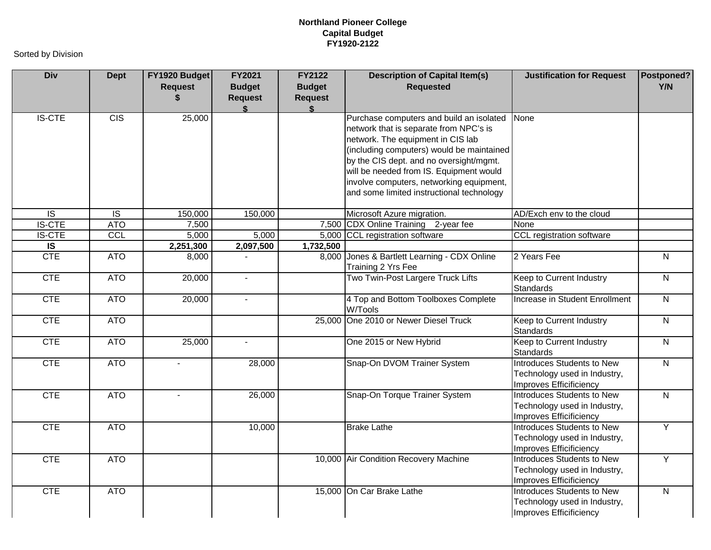| <b>Div</b>              | <b>Dept</b>    | FY1920 Budget<br><b>Request</b><br>\$ | FY2021<br><b>Budget</b><br><b>Request</b> | FY2122<br><b>Budget</b><br><b>Request</b><br>\$ | <b>Description of Capital Item(s)</b><br><b>Requested</b>                                                                                                                                                                                                                                                                                           | <b>Justification for Request</b>                                                      | Postponed?<br>Y/N |
|-------------------------|----------------|---------------------------------------|-------------------------------------------|-------------------------------------------------|-----------------------------------------------------------------------------------------------------------------------------------------------------------------------------------------------------------------------------------------------------------------------------------------------------------------------------------------------------|---------------------------------------------------------------------------------------|-------------------|
| <b>IS-CTE</b>           | <b>CIS</b>     | 25,000                                |                                           |                                                 | Purchase computers and build an isolated<br>network that is separate from NPC's is<br>network. The equipment in CIS lab<br>(including computers) would be maintained<br>by the CIS dept. and no oversight/mgmt.<br>will be needed from IS. Equipment would<br>involve computers, networking equipment,<br>and some limited instructional technology | None                                                                                  |                   |
| $\overline{S}$          | $\overline{S}$ | 150,000                               | 150,000                                   |                                                 | Microsoft Azure migration.                                                                                                                                                                                                                                                                                                                          | AD/Exch env to the cloud                                                              |                   |
| <b>IS-CTE</b>           | <b>ATO</b>     | 7,500                                 |                                           | 7,500                                           | CDX Online Training 2-year fee                                                                                                                                                                                                                                                                                                                      | None                                                                                  |                   |
| <b>IS-CTE</b>           | CCL            | 5,000                                 | 5,000                                     |                                                 | 5,000 CCL registration software                                                                                                                                                                                                                                                                                                                     | CCL registration software                                                             |                   |
| $\overline{\mathsf{s}}$ |                | 2,251,300                             | 2,097,500                                 | 1,732,500                                       |                                                                                                                                                                                                                                                                                                                                                     |                                                                                       |                   |
| <b>CTE</b>              | <b>ATO</b>     | 8,000                                 |                                           | 8,000                                           | Jones & Bartlett Learning - CDX Online<br>Training 2 Yrs Fee                                                                                                                                                                                                                                                                                        | 2 Years Fee                                                                           | ${\sf N}$         |
| <b>CTE</b>              | <b>ATO</b>     | 20,000                                | $\sim$                                    |                                                 | Two Twin-Post Largere Truck Lifts                                                                                                                                                                                                                                                                                                                   | Keep to Current Industry<br><b>Standards</b>                                          | $\overline{N}$    |
| <b>CTE</b>              | <b>ATO</b>     | 20,000                                | $\blacksquare$                            |                                                 | 4 Top and Bottom Toolboxes Complete<br>W/Tools                                                                                                                                                                                                                                                                                                      | Increase in Student Enrollment                                                        | $\mathsf{N}$      |
| <b>CTE</b>              | <b>ATO</b>     |                                       |                                           |                                                 | 25,000 One 2010 or Newer Diesel Truck                                                                                                                                                                                                                                                                                                               | Keep to Current Industry<br><b>Standards</b>                                          | $\overline{N}$    |
| <b>CTE</b>              | <b>ATO</b>     | 25,000                                | $\blacksquare$                            |                                                 | One 2015 or New Hybrid                                                                                                                                                                                                                                                                                                                              | Keep to Current Industry<br><b>Standards</b>                                          | $\overline{N}$    |
| <b>CTE</b>              | <b>ATO</b>     | $\blacksquare$                        | 28,000                                    |                                                 | Snap-On DVOM Trainer System                                                                                                                                                                                                                                                                                                                         | Introduces Students to New<br>Technology used in Industry,<br>Improves Efficificiency | $\overline{N}$    |
| <b>CTE</b>              | <b>ATO</b>     | $\overline{a}$                        | 26,000                                    |                                                 | Snap-On Torque Trainer System                                                                                                                                                                                                                                                                                                                       | Introduces Students to New<br>Technology used in Industry,<br>Improves Efficificiency | $\mathsf{N}$      |
| <b>CTE</b>              | <b>ATO</b>     |                                       | 10,000                                    |                                                 | <b>Brake Lathe</b>                                                                                                                                                                                                                                                                                                                                  | Introduces Students to New<br>Technology used in Industry,<br>Improves Efficificiency | $\overline{Y}$    |
| <b>CTE</b>              | <b>ATO</b>     |                                       |                                           |                                                 | 10,000 Air Condition Recovery Machine                                                                                                                                                                                                                                                                                                               | Introduces Students to New<br>Technology used in Industry,<br>Improves Efficificiency | Y                 |
| <b>CTE</b>              | <b>ATO</b>     |                                       |                                           |                                                 | 15,000 On Car Brake Lathe                                                                                                                                                                                                                                                                                                                           | Introduces Students to New<br>Technology used in Industry,<br>Improves Efficificiency | $\mathsf{N}$      |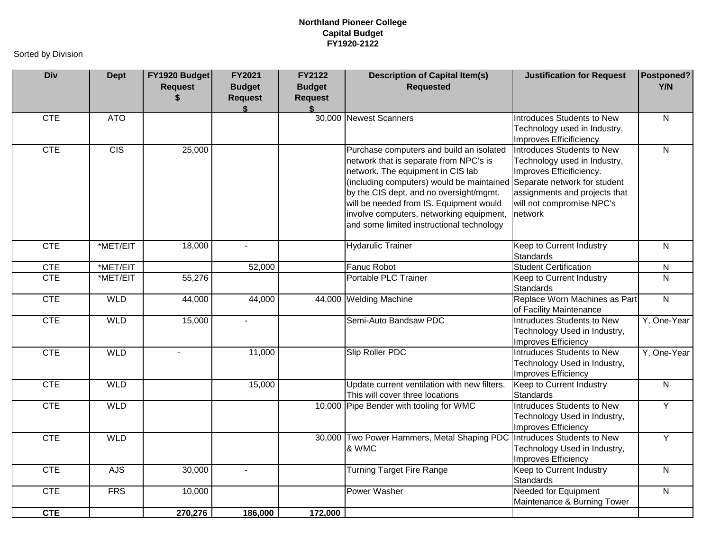| <b>Div</b> | <b>Dept</b>      | FY1920 Budget<br><b>Request</b><br>\$ | FY2021<br><b>Budget</b><br><b>Request</b> | <b>FY2122</b><br><b>Budget</b><br><b>Request</b> | <b>Description of Capital Item(s)</b><br><b>Requested</b>                                                                                                                                                                                                                                                                                                                        | <b>Justification for Request</b>                                                                                                                                | Postponed?<br>Y/N |
|------------|------------------|---------------------------------------|-------------------------------------------|--------------------------------------------------|----------------------------------------------------------------------------------------------------------------------------------------------------------------------------------------------------------------------------------------------------------------------------------------------------------------------------------------------------------------------------------|-----------------------------------------------------------------------------------------------------------------------------------------------------------------|-------------------|
| <b>CTE</b> | <b>ATO</b>       |                                       |                                           |                                                  | 30,000 Newest Scanners                                                                                                                                                                                                                                                                                                                                                           | Introduces Students to New<br>Technology used in Industry,<br>Improves Efficificiency                                                                           | $\overline{N}$    |
| <b>CTE</b> | $\overline{CIS}$ | 25,000                                |                                           |                                                  | Purchase computers and build an isolated<br>network that is separate from NPC's is<br>network. The equipment in CIS lab<br>(including computers) would be maintained Separate network for student<br>by the CIS dept. and no oversight/mgmt.<br>will be needed from IS. Equipment would<br>involve computers, networking equipment,<br>and some limited instructional technology | Introduces Students to New<br>Technology used in Industry,<br>Improves Efficificiency.<br>assignments and projects that<br>will not compromise NPC's<br>network | $\overline{N}$    |
| <b>CTE</b> | *MET/EIT         | 18,000                                | $\sim$                                    |                                                  | <b>Hydarulic Trainer</b>                                                                                                                                                                                                                                                                                                                                                         | Keep to Current Industry<br><b>Standards</b>                                                                                                                    | $\overline{N}$    |
| <b>CTE</b> | *MET/EIT         |                                       | 52,000                                    |                                                  | Fanuc Robot                                                                                                                                                                                                                                                                                                                                                                      | <b>Student Certification</b>                                                                                                                                    | ${\sf N}$         |
| <b>CTE</b> | *MET/EIT         | 55,276                                |                                           |                                                  | Portable PLC Trainer                                                                                                                                                                                                                                                                                                                                                             | Keep to Current Industry<br><b>Standards</b>                                                                                                                    | $\overline{N}$    |
| <b>CTE</b> | <b>WLD</b>       | 44,000                                | 44,000                                    |                                                  | 44,000 Welding Machine                                                                                                                                                                                                                                                                                                                                                           | Replace Worn Machines as Part<br>of Facility Maintenance                                                                                                        | $\overline{N}$    |
| <b>CTE</b> | <b>WLD</b>       | 15,000                                |                                           |                                                  | Semi-Auto Bandsaw PDC                                                                                                                                                                                                                                                                                                                                                            | Intruduces Students to New<br>Technology Used in Industry,<br>Improves Efficiency                                                                               | Y, One-Year       |
| <b>CTE</b> | <b>WLD</b>       | $\blacksquare$                        | 11,000                                    |                                                  | Slip Roller PDC                                                                                                                                                                                                                                                                                                                                                                  | Intruduces Students to New<br>Technology Used in Industry,<br>Improves Efficiency                                                                               | Y, One-Year       |
| <b>CTE</b> | <b>WLD</b>       |                                       | 15,000                                    |                                                  | Update current ventilation with new filters.<br>This will cover three locations                                                                                                                                                                                                                                                                                                  | Keep to Current Industry<br><b>Standards</b>                                                                                                                    | $\overline{N}$    |
| <b>CTE</b> | <b>WLD</b>       |                                       |                                           |                                                  | 10,000 Pipe Bender with tooling for WMC                                                                                                                                                                                                                                                                                                                                          | Intruduces Students to New<br>Technology Used in Industry,<br>Improves Efficiency                                                                               | $\overline{Y}$    |
| <b>CTE</b> | <b>WLD</b>       |                                       |                                           |                                                  | 30,000 Two Power Hammers, Metal Shaping PDC Intruduces Students to New<br>& WMC                                                                                                                                                                                                                                                                                                  | Technology Used in Industry,<br>Improves Efficiency                                                                                                             | $\overline{Y}$    |
| <b>CTE</b> | <b>AJS</b>       | 30,000                                |                                           |                                                  | <b>Turning Target Fire Range</b>                                                                                                                                                                                                                                                                                                                                                 | Keep to Current Industry<br>Standards                                                                                                                           | $\overline{N}$    |
| <b>CTE</b> | <b>FRS</b>       | 10,000                                |                                           |                                                  | <b>Power Washer</b>                                                                                                                                                                                                                                                                                                                                                              | <b>Needed for Equipment</b><br>Maintenance & Burning Tower                                                                                                      | $\overline{N}$    |
| <b>CTE</b> |                  | 270,276                               | 186,000                                   | 172,000                                          |                                                                                                                                                                                                                                                                                                                                                                                  |                                                                                                                                                                 |                   |